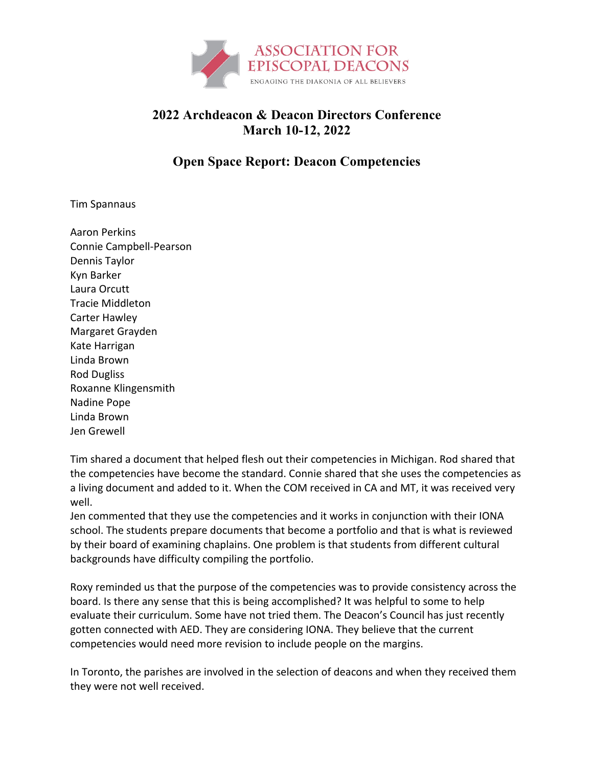

## **2022 Archdeacon & Deacon Directors Conference March 10-12, 2022**

## **Open Space Report: Deacon Competencies**

Tim Spannaus

Aaron Perkins Connie Campbell-Pearson Dennis Taylor Kyn Barker Laura Orcutt Tracie Middleton Carter Hawley Margaret Grayden Kate Harrigan Linda Brown Rod Dugliss Roxanne Klingensmith Nadine Pope Linda Brown Jen Grewell

Tim shared a document that helped flesh out their competencies in Michigan. Rod shared that the competencies have become the standard. Connie shared that she uses the competencies as a living document and added to it. When the COM received in CA and MT, it was received very well.

Jen commented that they use the competencies and it works in conjunction with their IONA school. The students prepare documents that become a portfolio and that is what is reviewed by their board of examining chaplains. One problem is that students from different cultural backgrounds have difficulty compiling the portfolio.

Roxy reminded us that the purpose of the competencies was to provide consistency across the board. Is there any sense that this is being accomplished? It was helpful to some to help evaluate their curriculum. Some have not tried them. The Deacon's Council has just recently gotten connected with AED. They are considering IONA. They believe that the current competencies would need more revision to include people on the margins.

In Toronto, the parishes are involved in the selection of deacons and when they received them they were not well received.